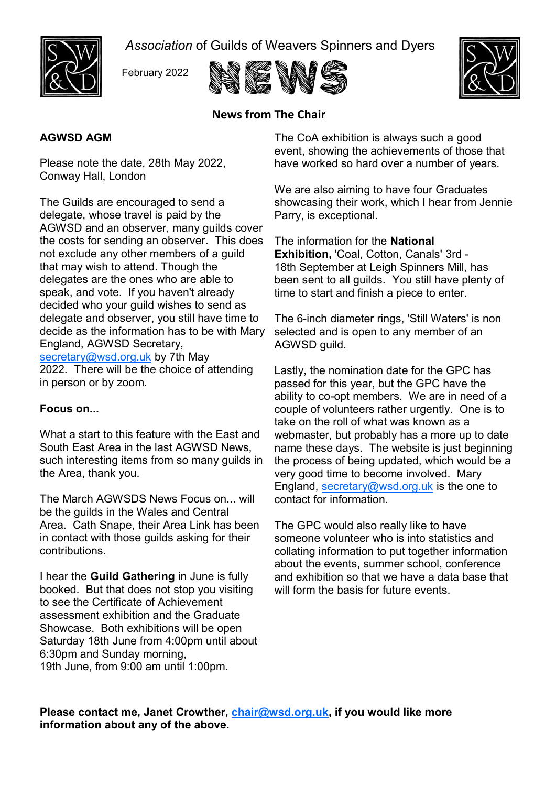

*Association* of Guilds of Weavers Spinners and Dyers







# **News from The Chair**

## **AGWSD AGM**

Please note the date, 28th May 2022, Conway Hall, London

The Guilds are encouraged to send a delegate, whose travel is paid by the AGWSD and an observer, many guilds cover the costs for sending an observer. This does not exclude any other members of a guild that may wish to attend. Though the delegates are the ones who are able to speak, and vote. If you haven't already decided who your guild wishes to send as delegate and observer, you still have time to decide as the information has to be with Mary England, AGWSD Secretary, [secretary@wsd.org.uk](mailto:secretary@wsd.org.uk) by 7th May 2022. There will be the choice of attending in person or by zoom.

### **Focus on...**

What a start to this feature with the East and South East Area in the last AGWSD News, such interesting items from so many guilds in the Area, thank you.

The March AGWSDS News Focus on... will be the guilds in the Wales and Central Area. Cath Snape, their Area Link has been in contact with those guilds asking for their contributions.

I hear the **Guild Gathering** in June is fully booked. But that does not stop you visiting to see the Certificate of Achievement assessment exhibition and the Graduate Showcase. Both exhibitions will be open Saturday 18th June from 4:00pm until about 6:30pm and Sunday morning, 19th June, from 9:00 am until 1:00pm.

The CoA exhibition is always such a good event, showing the achievements of those that have worked so hard over a number of years.

We are also aiming to have four Graduates showcasing their work, which I hear from Jennie Parry, is exceptional.

The information for the **National Exhibition,** 'Coal, Cotton, Canals' 3rd - 18th September at Leigh Spinners Mill, has been sent to all guilds. You still have plenty of time to start and finish a piece to enter.

The 6-inch diameter rings, 'Still Waters' is non selected and is open to any member of an AGWSD guild.

Lastly, the nomination date for the GPC has passed for this year, but the GPC have the ability to co-opt members. We are in need of a couple of volunteers rather urgently. One is to take on the roll of what was known as a webmaster, but probably has a more up to date name these days. The website is just beginning the process of being updated, which would be a very good time to become involved. Mary England, [secretary@wsd.org.uk](mailto:secretary@wsd.org.uk) is the one to contact for information.

The GPC would also really like to have someone volunteer who is into statistics and collating information to put together information about the events, summer school, conference and exhibition so that we have a data base that will form the basis for future events.

**Please contact me, Janet Crowther, [chair@wsd.org.uk,](mailto:chair@wsd.org.uk) if you would like more information about any of the above.**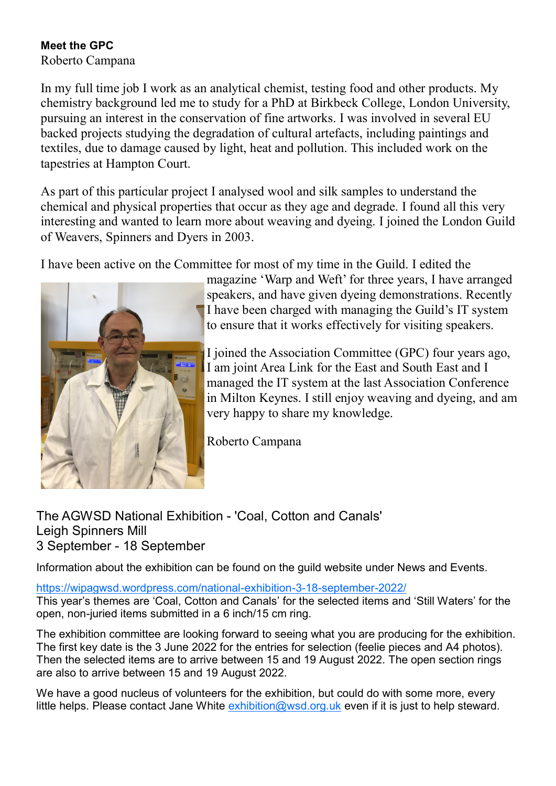## **Meet the GPC**

Roberto Campana

In my full time job I work as an analytical chemist, testing food and other products. My chemistry background led me to study for a PhD at Birkbeck College, London University, pursuing an interest in the conservation of fine artworks. I was involved in several EU backed projects studying the degradation of cultural artefacts, including paintings and textiles, due to damage caused by light, heat and pollution. This included work on the tapestries at Hampton Court.

As part of this particular project I analysed wool and silk samples to understand the chemical and physical properties that occur as they age and degrade. I found all this very interesting and wanted to learn more about weaving and dyeing. I joined the London Guild of Weavers, Spinners and Dyers in 2003.

I have been active on the Committee for most of my time in the Guild. I edited the



magazine 'Warp and Weft' for three years, I have arranged speakers, and have given dyeing demonstrations. Recently I have been charged with managing the Guild's IT system to ensure that it works effectively for visiting speakers.

I joined the Association Committee (GPC) four years ago, I am joint Area Link for the East and South East and I managed the IT system at the last Association Conference in Milton Keynes. I still enjoy weaving and dyeing, and am very happy to share my knowledge.

Roberto Campana

## The AGWSD National Exhibition - 'Coal, Cotton and Canals' Leigh Spinners Mill 3 September - 18 September

Information about the exhibition can be found on the guild website under News and Events.

## [https://wipagwsd.wordpress.com/national](https://wipagwsd.wordpress.com/national-exhibition-3-18-september-2022/)-exhibition-3-18-september-2022/

This year's themes are 'Coal, Cotton and Canals' for the selected items and 'Still Waters' for the open, non-juried items submitted in a 6 inch/15 cm ring.

The exhibition committee are looking forward to seeing what you are producing for the exhibition. The first key date is the 3 June 2022 for the entries for selection (feelie pieces and A4 photos). Then the selected items are to arrive between 15 and 19 August 2022. The open section rings are also to arrive between 15 and 19 August 2022.

We have a good nucleus of volunteers for the exhibition, but could do with some more, every little helps. Please contact Jane White [exhibition@wsd.org.uk](mailto:exhibition@wsd.org.uk) even if it is just to help steward.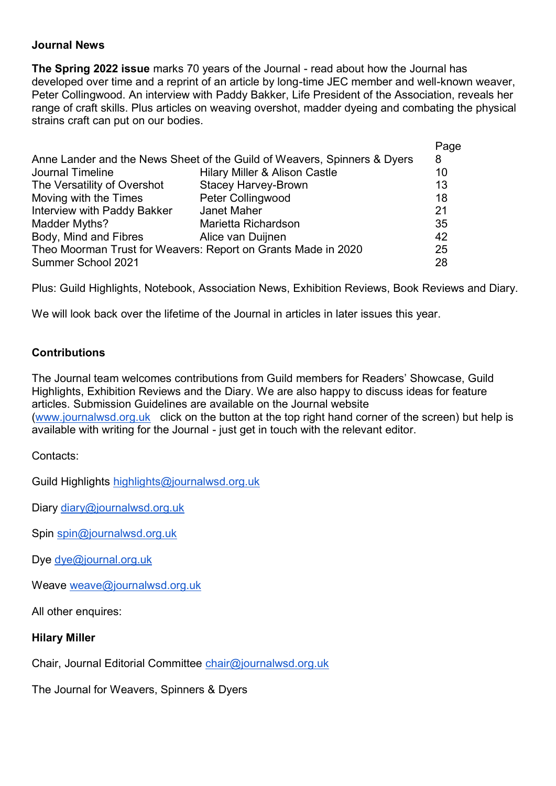## **Journal News**

**The Spring 2022 issue** marks 70 years of the Journal - read about how the Journal has developed over time and a reprint of an article by long-time JEC member and well-known weaver, Peter Collingwood. An interview with Paddy Bakker, Life President of the Association, reveals her range of craft skills. Plus articles on weaving overshot, madder dyeing and combating the physical strains craft can put on our bodies.

|                                                                          |                                          | Page |
|--------------------------------------------------------------------------|------------------------------------------|------|
| Anne Lander and the News Sheet of the Guild of Weavers, Spinners & Dyers |                                          | 8    |
| Journal Timeline                                                         | <b>Hilary Miller &amp; Alison Castle</b> | 10   |
| The Versatility of Overshot                                              | <b>Stacey Harvey-Brown</b>               | 13   |
| Moving with the Times                                                    | Peter Collingwood                        | 18   |
| Interview with Paddy Bakker                                              | Janet Maher                              | 21   |
| Madder Myths?                                                            | Marietta Richardson                      | 35   |
| Body, Mind and Fibres                                                    | Alice van Duijnen                        | 42   |
| Theo Moorman Trust for Weavers: Report on Grants Made in 2020            |                                          | 25   |
| Summer School 2021                                                       |                                          | 28   |
|                                                                          |                                          |      |

Plus: Guild Highlights, Notebook, Association News, Exhibition Reviews, Book Reviews and Diary.

We will look back over the lifetime of the Journal in articles in later issues this year.

## **Contributions**

The Journal team welcomes contributions from Guild members for Readers' Showcase, Guild Highlights, Exhibition Reviews and the Diary. We are also happy to discuss ideas for feature articles. Submission Guidelines are available on the Journal website ([www.journalwsd.org.uk](http://www.journalwsd.org.uk) click on the button at the top right hand corner of the screen) but help is available with writing for the Journal - just get in touch with the relevant editor.

Contacts:

Guild Highlights [highlights@journalwsd.org.uk](mailto:highlights@journalwsd.org.uk)

Diary [diary@journalwsd.org.uk](mailto:diary@journalwsd.org.uk)

Spin [spin@journalwsd.org.uk](mailto:spin@journalwsd.org.uk)

Dye [dye@journal.org.uk](mailto:dye@journal.org.uk)

Weave [weave@journalwsd.org.uk](mailto:weave@journalwsd.org.uk)

All other enquires:

### **Hilary Miller**

Chair, Journal Editorial Committee [chair@journalwsd.org.uk](mailto:chair@journalwsd.org.uk)

The Journal for Weavers, Spinners & Dyers